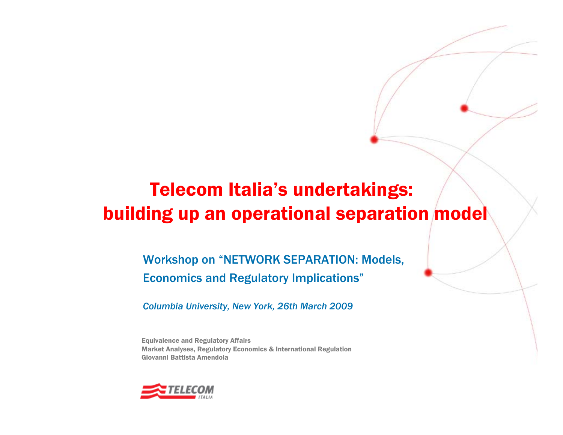# Telecom Italia's undertakings: building up an operational separation model

### Workshop on "NETWORK SEPARATION: Models, Economics and Regulatory Implications"

*Columbia University, New York, 26th March 2009*

Equivalence and Regulatory Affairs Market Analyses, Regulatory Economics & International Regulation Giovanni Battista Amendola

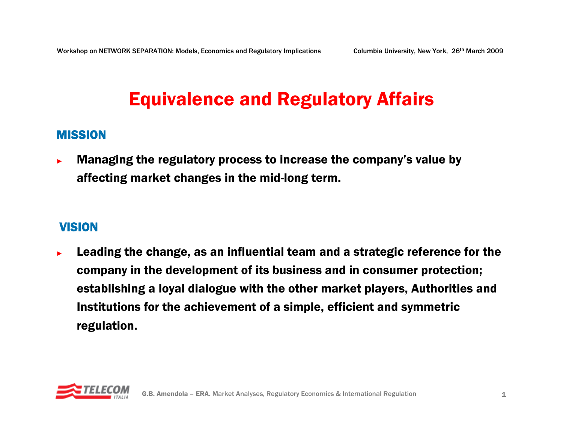# Equivalence and Regulatory Affairs

#### MISSION

► Managing the regulatory process to increase the company's value by affecting market changes in the mid-long term.

#### **VISION**

► Leading the change, as an influential team and a strategic reference for the company in the development of its business and in consumer protection; establishing a loyal dialogue with the other market players, Authorities and Institutions for the achievement of a simple, efficient and symmetric regulation.

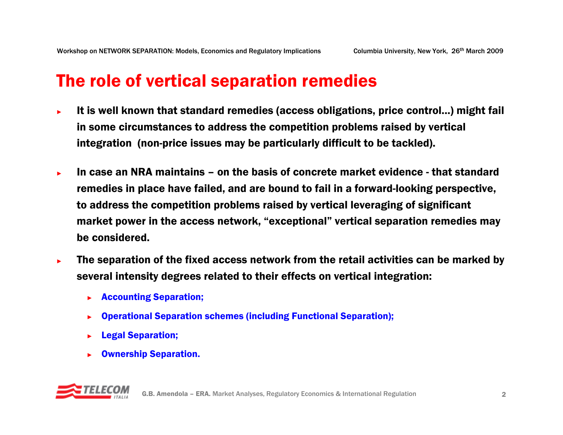### The role of vertical separation remedies

- ► It is well known that standard remedies (access obligations, price control...) might fail in some circumstances to address the competition problems raised by vertical integration (non-price issues may be particularly difficult to be tackled).
- ►In case an NRA maintains – on the basis of concrete market evidence - that standard remedies in place have failed, and are bound to fail in a forward-looking perspective, to address the competition problems raised by vertical leveraging of significant market power in the access network, "exceptional" vertical separation remedies may be considered.
- ► The separation of the fixed access network from the retail activities can be marked by several intensity degrees related to their effects on vertical integration:
	- ►Accounting Separation;
	- ►Operational Separation schemes (including Functional Separation);
	- ►Legal Separation;
	- ►Ownership Separation.

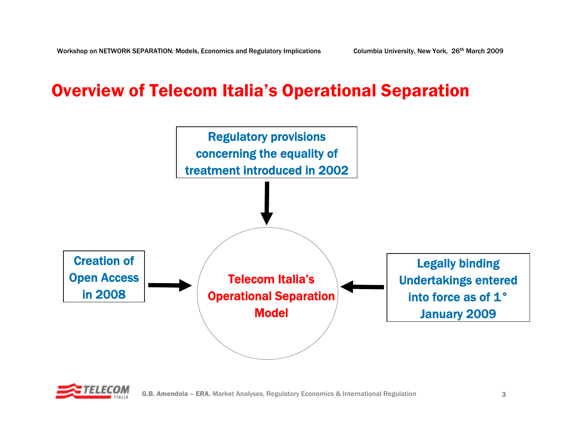### Overview of Telecom Italia's Operational Separation



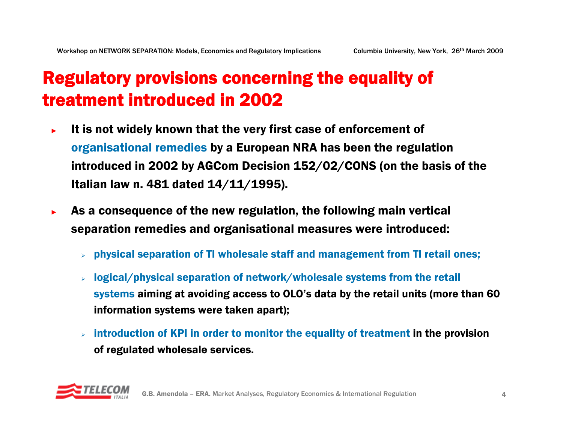## Regulatory provisions concerning the equality of treatment introduced in 2002

- ► It is not widely known that the very first case of enforcement of organisational remedies by a European NRA has been the regulation introduced in 2002 by AGCom Decision 152/02/CONS (on the basis of the Italian law n. 481 dated 14/11/1995).
- ► As a consequence of the new regulation, the following main vertical separation remedies and organisational measures were introduced:
	- ¾physical separation of TI wholesale staff and management from TI retail ones;
	- ¾ logical/physical separation of network/wholesale systems from the retail systems aiming at avoiding access to OLO's data by the retail units (more than 60 information systems were taken apart);
	- ¾ introduction of KPI in order to monitor the equality of treatment in the provision of regulated wholesale services.

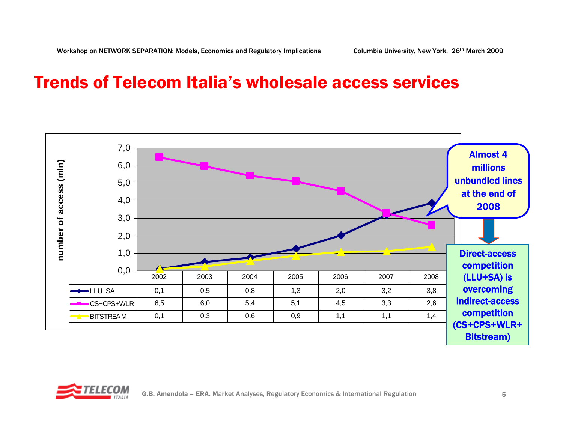### Trends of Telecom Italia's wholesale access services



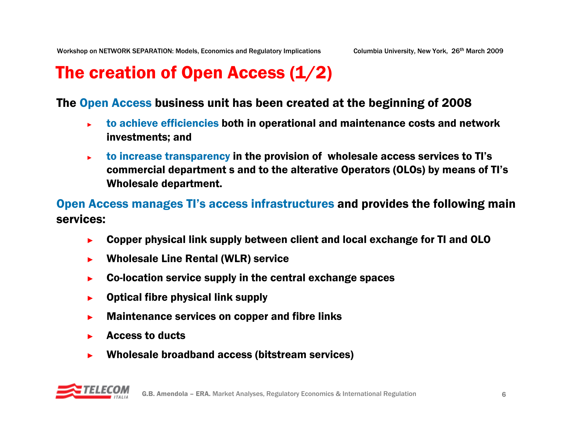## The creation of Open Access (1/2)

#### The Open Access business unit has been created at the beginning of 2008

- ► to achieve efficiencies both in operational and maintenance costs and network investments; and
- ► to increase transparency in the provision of wholesale access services to TI's commercial department s and to the alterative Operators (OLOs) by means of TI's Wholesale department.

#### Open Access manages TI's access infrastructures and provides the following main services:

- ►Copper physical link supply between client and local exchange for TI and OLO
- ►Wholesale Line Rental (WLR) service
- ►Co-location service supply in the central exchange spaces
- ►Optical fibre physical link supply
- ►Maintenance services on copper and fibre links
- ►Access to ducts
- ►Wholesale broadband access (bitstream services)

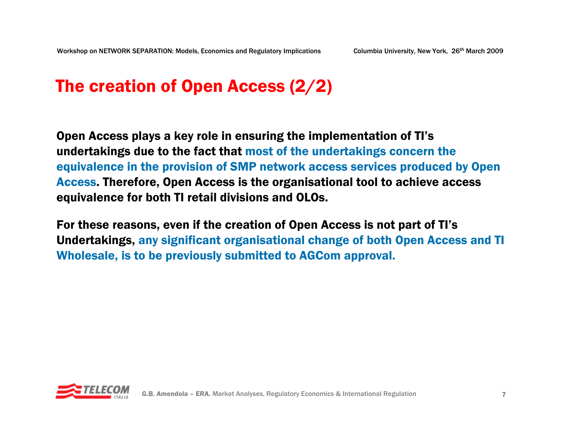### The creation of Open Access (2/2)

Open Access plays a key role in ensuring the implementation of TI's undertakings due to the fact that most of the undertakings concern the equivalence in the provision of SMP network access services produced by Open Access. Therefore, Open Access is the organisational tool to achieve access equivalence for both TI retail divisions and OLOs.

For these reasons, even if the creation of Open Access is not part of TI's Undertakings, any significant organisational change of both Open Access and TI Wholesale, is to be previously submitted to AGCom approval.

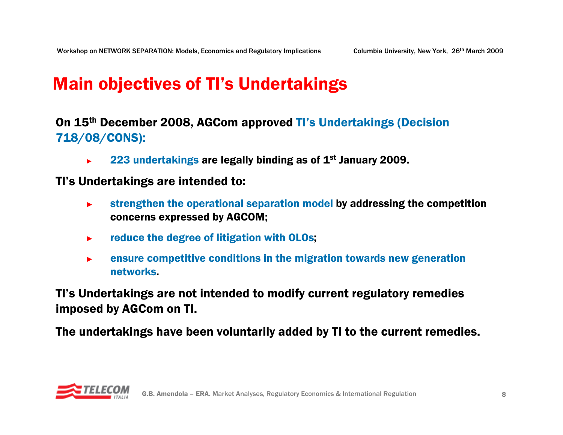## Main objectives of TI's Undertakings

#### On 15th December 2008, AGCom approved TI's Undertakings (Decision 718/08/CONS):

►223 undertakings are legally binding as of 1<sup>st</sup> January 2009.

#### TI's Undertakings are intended to:

- ► strengthen the operational separation model by addressing the competition concerns expressed by AGCOM;
- ►reduce the degree of litigation with OLOs;
- ► ensure competitive conditions in the migration towards new generation networks.

TI's Undertakings are not intended to modify current regulatory remedies imposed by AGCom on TI.

The undertakings have been voluntarily added by TI to the current remedies.

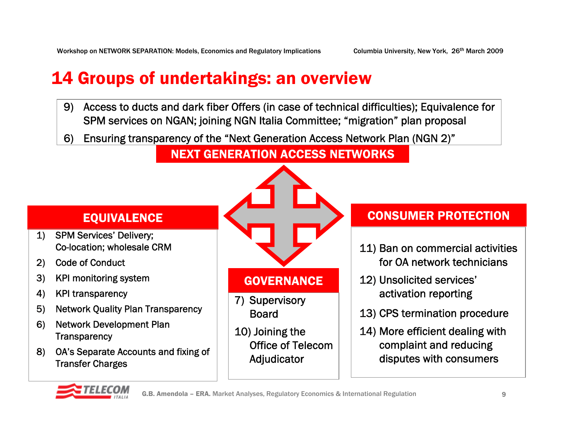## 14 Groups of undertakings: an overview

- 9) Access to ducts and dark fiber Offers (in case of technical difficulties); Equivalence for SPM services on NGAN; joining NGN Italia Committee; "migration" plan proposal
- Ensuring transparency of the "Next Generation Access Network Plan (NGN 2)"6)

#### NEXT GENERATION ACCESS NETWORKS

#### EQUIVALENCE

- 1) SPM Services' Delivery; Co-location; wholesale CRM
- Code of Conduct2)
- 3) KPI monitoring system
- KPI transparency 4)
- Network Quality Plan Transparency 5)
- Network Development Plan Transparency 6)
- OA's Separate Accounts and fixing of 8) Transfer Charges



### **GOVERNANCE**

- 7) Supervisory Board
- 10) Joining the Office of Telecom Adjudicator

#### CONSUMER PROTECTION

- 11) Ban on commercial activities for OA network technicians
- 12) Unsolicited services' activation reporting
- 13) CPS termination procedure
- complaint and reducing 14) More efficient dealing with disputes with consumers

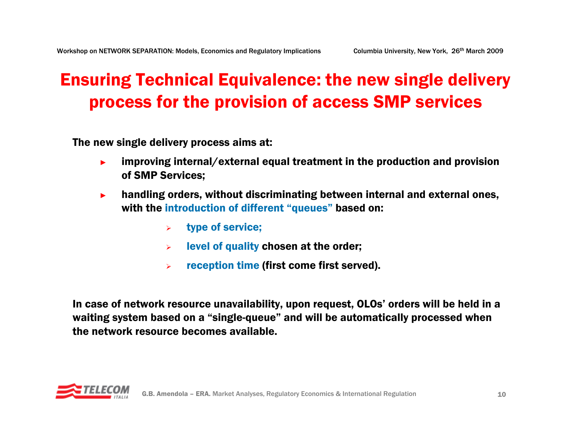## Ensuring Technical Equivalence: the new single delivery process for the provision of access SMP services

The new single delivery process aims at:

- ► improving internal/external equal treatment in the production and provision of SMP Services;
- ► handling orders, without discriminating between internal and external ones, with the introduction of different "queues" based on:
	- $\blacktriangleright$ type of service;
	- ¾level of quality chosen at the order;
	- ¾reception time (first come first served).

In case of network resource unavailability, upon request, OLOs' orders will be held in a waiting system based on a "single-queue" and will be automatically processed when the network resource becomes available.

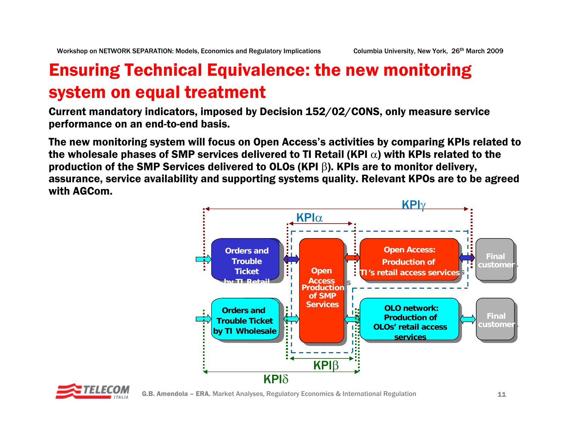# Ensuring Technical Equivalence: the new monitoring system on equal treatment

Current mandatory indicators, imposed by Decision 152/02/CONS, only measure service performance on an end-to-end basis.

The new monitoring system will focus on Open Access's activities by comparing KPIs related to the wholesale phases of SMP services delivered to TI Retail (KPI  $\alpha$ ) with KPIs related to the production of the SMP Services delivered to OLOs (KPI  $\beta$ ). KPIs are to monitor delivery, assurance, service availability and supporting systems quality. Relevant KPOs are to be agreed with AGCom.



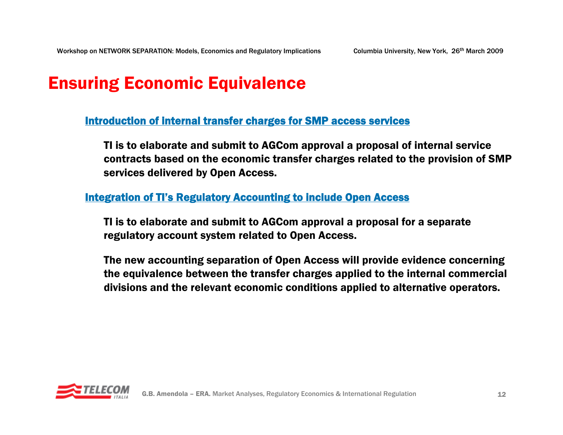## Ensuring Economic Equivalence

Introduction of internal transfer charges for SMP access services

TI is to elaborate and submit to AGCom approval a proposal of internal service contracts based on the economic transfer charges related to the provision of SMP services delivered by Open Access.

#### <u>Integration of TI's Regulatory Accounting to include Open Access</u>

TI is to elaborate and submit to AGCom approval a proposal for a separate regulatory account system related to Open Access.

The new accounting separation of Open Access will provide evidence concerning the equivalence between the transfer charges applied to the internal commercial divisions and the relevant economic conditions applied to alternative operators.

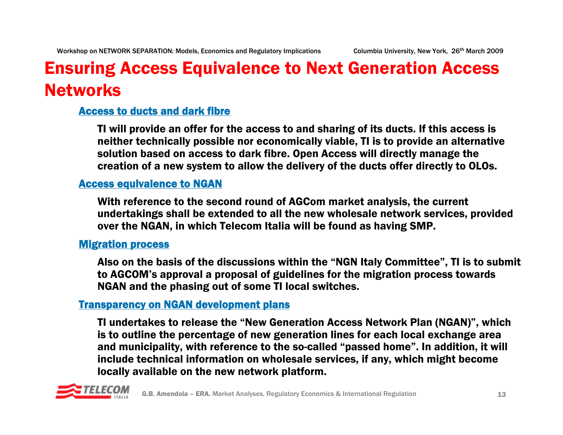# Ensuring Access Equivalence to Next Generation Access **Networks**

#### Access to ducts and dark fibre

TI will provide an offer for the access to and sharing of its ducts. If this access is neither technically possible nor economically viable, TI is to provide an alternative solution based on access to dark fibre. Open Access will directly manage the creation of a new system to allow the delivery of the ducts offer directly to OLOs.

#### Access equivalence to NGAN

With reference to the second round of AGCom market analysis, the current undertakings shall be extended to all the new wholesale network services, provided over the NGAN, in which Telecom Italia will be found as having SMP.

#### **Migration process**

Also on the basis of the discussions within the "NGN Italy Committee", TI is to submit to AGCOM's approval a proposal of guidelines for the migration process towards NGAN and the phasing out of some TI local switches.

#### Transparency on NGAN development plans

TI undertakes to release the "New Generation Access Network Plan (NGAN)", which is to outline the percentage of new generation lines for each local exchange area and municipality, with reference to the so-called "passed home". In addition, it will include technical information on wholesale services, if any, which might become locally available on the new network platform.

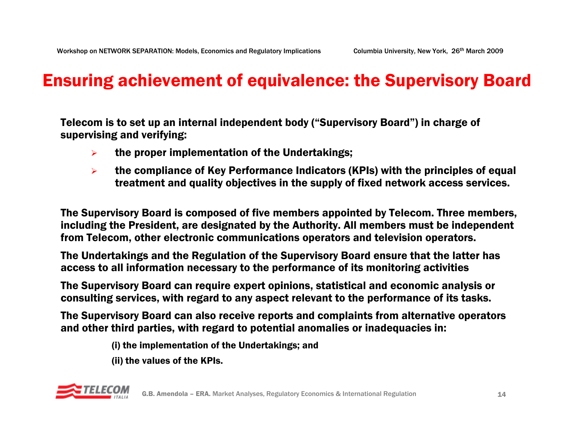### Ensuring achievement of equivalence: the Supervisory Board

Telecom is to set up an internal independent body ("Supervisory Board") in charge of supervising and verifying:

- $\blacktriangleright$ the proper implementation of the Undertakings;
- $\blacktriangleright$  the compliance of Key Performance Indicators (KPIs) with the principles of equal treatment and quality objectives in the supply of fixed network access services.

The Supervisory Board is composed of five members appointed by Telecom. Three members, including the President, are designated by the Authority. All members must be independent from Telecom, other electronic communications operators and television operators.

The Undertakings and the Regulation of the Supervisory Board ensure that the latter has access to all information necessary to the performance of its monitoring activities

The Supervisory Board can require expert opinions, statistical and economic analysis or consulting services, with regard to any aspect relevant to the performance of its tasks.

The Supervisory Board can also receive reports and complaints from alternative operators and other third parties, with regard to potential anomalies or inadequacies in:

(i) the implementation of the Undertakings; and

(ii) the values of the KPIs.

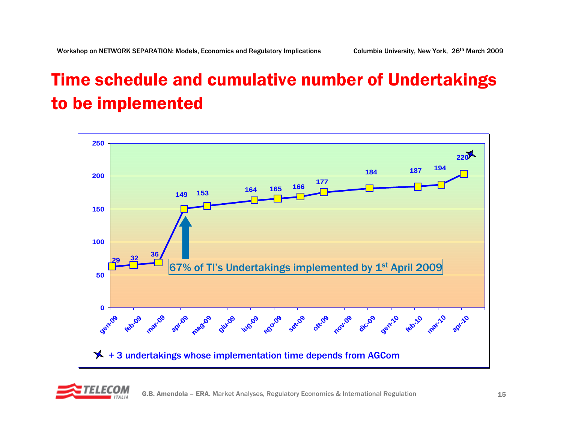# Time schedule and cumulative number of Undertakings to be implemented



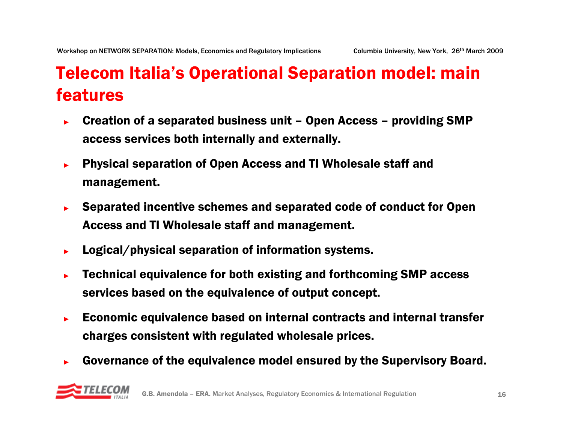## Telecom Italia's Operational Separation model: main features

- ► Creation of a separated business unit – Open Access – providing SMP access services both internally and externally.
- ► Physical separation of Open Access and TI Wholesale staff and management.
- ► Separated incentive schemes and separated code of conduct for Open Access and TI Wholesale staff and management.
- ►Logical/physical separation of information systems.
- ► Technical equivalence for both existing and forthcoming SMP access services based on the equivalence of output concept.
- ► Economic equivalence based on internal contracts and internal transfer charges consistent with regulated wholesale prices.
- ►Governance of the equivalence model ensured by the Supervisory Board.

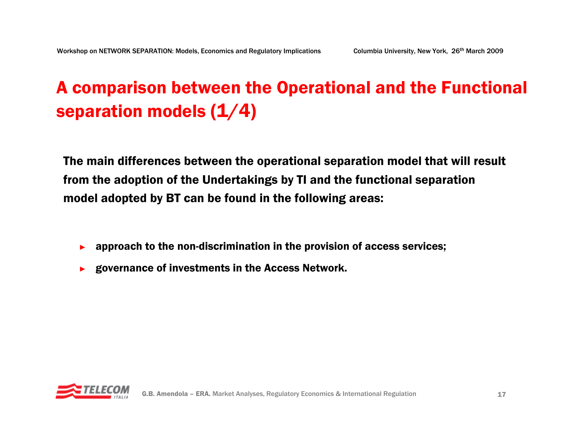# A comparison between the Operational and the Functional separation models (1/4)

The main differences between the operational separation model that will result from the adoption of the Undertakings by TI and the functional separation model adopted by BT can be found in the following areas:

- ►approach to the non-discrimination in the provision of access services;
- ►governance of investments in the Access Network.

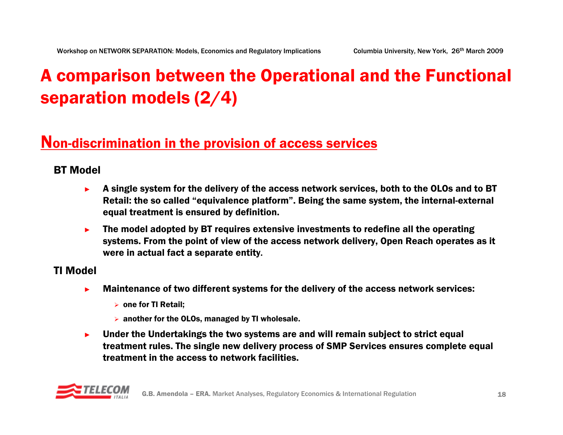# A comparison between the Operational and the Functional separation models (2/4)

### Non-discrimination in the provision of access services

#### BT Model

- ► A single system for the delivery of the access network services, both to the OLOs and to BT Retail: the so called "equivalence platform". Being the same system, the internal-external equal treatment is ensured by definition.
- ► The model adopted by BT requires extensive investments to redefine all the operating systems. From the point of view of the access network delivery, Open Reach operates as it were in actual fact a separate entity.

#### TI Model

- ► Maintenance of two different systems for the delivery of the access network services:
	- $\triangleright$  one for TI Retail;
	- $\triangleright$  another for the OLOs, managed by TI wholesale.
- ► Under the Undertakings the two systems are and will remain subject to strict equal treatment rules. The single new delivery process of SMP Services ensures complete equal treatment in the access to network facilities.

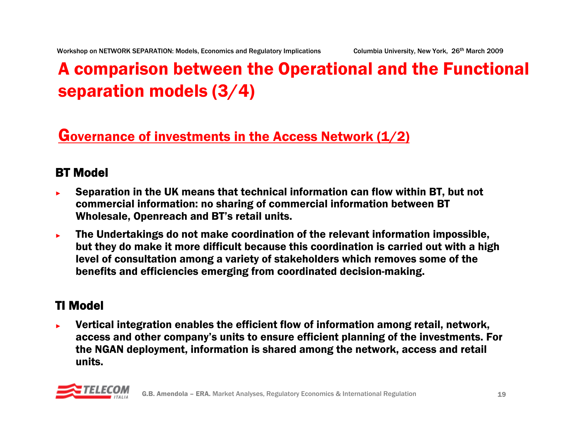# A comparison between the Operational and the Functional separation models (3/4)

### Governance of investments in the Access Network (1/2)

### BT Model

- ► Separation in the UK means that technical information can flow within BT, but not commercial information: no sharing of commercial information between BT Wholesale, Openreach and BT's retail units.
- ► The Undertakings do not make coordination of the relevant information impossible, but they do make it more difficult because this coordination is carried out with a high level of consultation among a variety of stakeholders which removes some of the benefits and efficiencies emerging from coordinated decision-making.

### TI Model

► Vertical integration enables the efficient flow of information among retail, network, access and other company's units to ensure efficient planning of the investments. For the NGAN deployment, information is shared among the network, access and retail units.

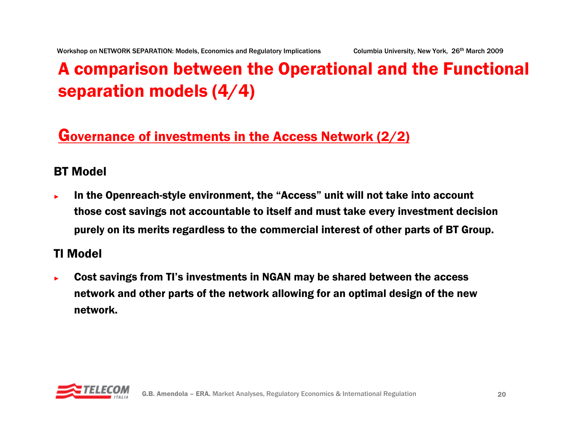# A comparison between the Operational and the Functional separation models (4/4)

### Governance of investments in the Access Network (2/2)

#### BT Model

► In the Openreach-style environment, the "Access" unit will not take into account those cost savings not accountable to itself and must take every investment decision purely on its merits regardless to the commercial interest of other parts of BT Group.

#### TI Model

► Cost savings from TI's investments in NGAN may be shared between the access network and other parts of the network allowing for an optimal design of the new network.

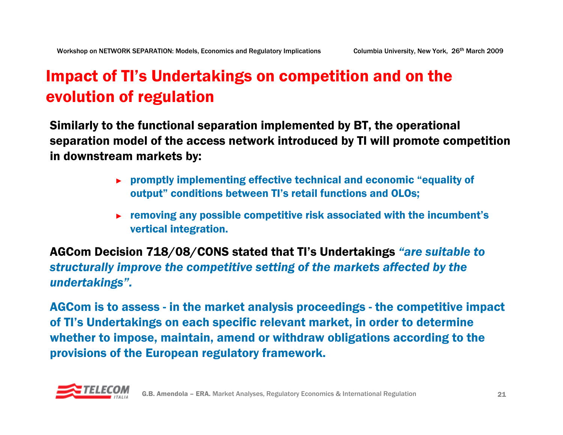## Impact of TI's Undertakings on competition and on the evolution of regulation

Similarly to the functional separation implemented by BT, the operational separation model of the access network introduced by TI will promote competition in downstream markets by:

- ► promptly implementing effective technical and economic "equality of output" conditions between TI's retail functions and OLOs;
- ► removing any possible competitive risk associated with the incumbent's vertical integration.

AGCom Decision 718/08/CONS stated that TI's Undertakings *"are suitable to structurally improve the competitive setting of the markets affected by the undertakings".*

AGCom is to assess - in the market analysis proceedings - the competitive impact of TI's Undertakings on each specific relevant market, in order to determine whether to impose, maintain, amend or withdraw obligations according to the provisions of the European regulatory framework.